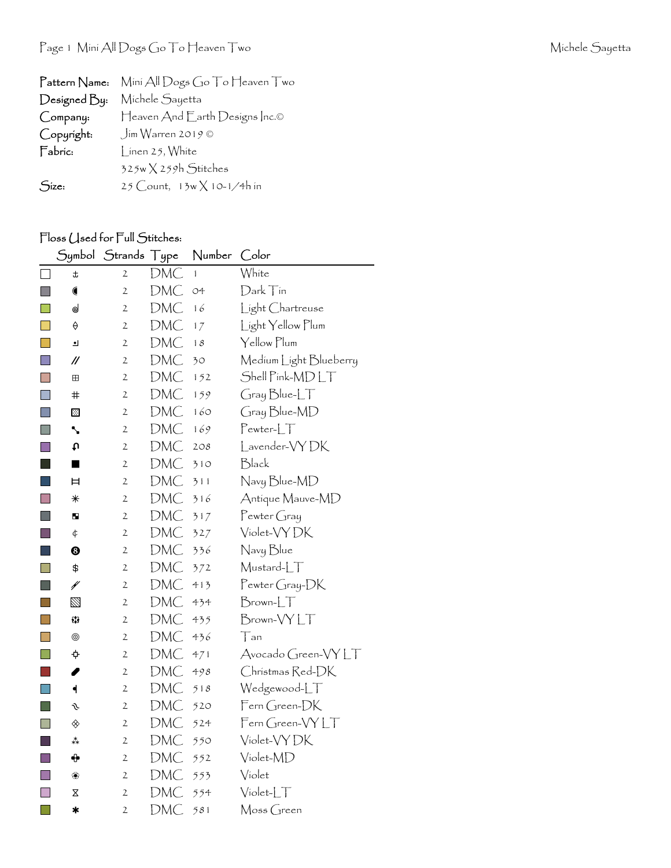| $\mathsf{Pattern\,Name:}$ | Mini All Dogs Go To Heaven Two    |
|---------------------------|-----------------------------------|
| Designed By:              | Michele Sayetta                   |
| Company:                  | Heaven And Earth Designs Inc.©    |
| Copyright:                | $\lim$ Warren 2019 ©              |
| Fabric:                   | [inen 25, White]                  |
|                           | $325w \times 259h$ Stitches       |
| Size:                     | 25 Count, $13w \times 10-1/4h$ in |

## Floss (Jsed for Full Stitches:

|                          | Symbol            | Strands Type   |     | Number       | Color                         |
|--------------------------|-------------------|----------------|-----|--------------|-------------------------------|
| $\Box$                   | t                 | $\overline{2}$ | DMC | $\mathbf{1}$ | White                         |
| $\mathbb{R}^n$           | $\bullet$         | $\mathfrak{2}$ | DMC | 04           | Dark Tin                      |
| $\Box$                   | $\circledcirc$    | $\mathfrak{2}$ | DMC | 16           | Light Chartreuse              |
|                          | $\Theta$          | $\mathfrak{2}$ | DMC | 17           | Light Yellow Plum             |
| $\Box$                   | $\cdot$           | $\mathfrak{2}$ | DMC | 18           | Yellow Plum                   |
| T.                       | $\mathcal{U}$     | $\mathfrak{2}$ | DMC | 30           | Medium Light Blueberry        |
| $\Box$                   | ⊞                 | 2              | DMC | 152          | Shell Pink-MDLT               |
| $\Box$                   | $\#$              | $\mathbf{2}$   | DMC | 159          | Gray Blue-LT                  |
| $\Box$                   | ▩                 | $\mathfrak{2}$ | DMC | 160          | Gray Blue-MD                  |
| IJ                       | ╲                 | 2              | DMC | 169          | $Pewter-LT$                   |
| $\overline{\phantom{a}}$ | t                 | $\mathfrak{2}$ | DMC | 208          | Lavender-VYDK                 |
| <b>College</b>           | ■                 | $\mathfrak{2}$ | DMC | 310          | Black                         |
|                          | Ħ                 | 2              | DMC | 311          | Navy Blue-MD                  |
| <b>Tale</b>              | ⋇                 | $\mathfrak{2}$ | DMC | 316          | Antique Mauve-MD              |
|                          | Ы                 | $\mathfrak{2}$ | DMC | 317          | Pewter Gray                   |
| <b>Tall</b>              | ¢                 | $\mathbf{2}$   | DMC | 327          | Violet-VY DK                  |
|                          | $\ddot{\text{o}}$ | 2              | DMC | 336          | Navy Blue                     |
| <b>Tall</b>              | \$                | $\mathfrak{2}$ | DMC | 372          | Mustard-LT                    |
| Q                        | ¥                 | $\mathfrak{2}$ | DMC | 413          | Pewter Gray-DK                |
| <b>Tal</b>               | ⊠                 | $\mathfrak{2}$ | DMC | 434          | $Brown$ - $LT$                |
| k.                       | 83                | $\mathfrak{2}$ | DMC | 435          | Brown-VYLT                    |
|                          | ◉                 | $\mathfrak{2}$ | DMC | 436          | Tan                           |
| h.                       | ¢                 | $\mathfrak{2}$ | DMC | 471          | Avocado Green-VYLT            |
|                          | I                 | $\mathfrak{2}$ | DMC | 498          | Christmas Red-DK              |
| $\Box$                   | ┥                 | $\mathfrak{2}$ | DMC | 518          | Wedgewood-LT                  |
| <b>College</b>           | s                 | $\mathfrak{2}$ | DMC | 520          | Fern Green-DK                 |
| $\Box$                   | ◈                 | $\mathfrak{2}$ | DMC | 524          | Fern Green-VYLT               |
|                          | ∗*                | $\mathfrak{2}$ | DMC | 550          | Violet-VYDK                   |
| T.                       | ⊕                 | $\mathfrak{2}$ | DMC | 552          | Violet-MD                     |
| $\Box$                   | ❀                 | 2              | DMC | 553          | Violet                        |
| $\Box$                   | Χ                 | $\mathfrak{2}$ | DMC | 554          | $V\ddot{\text{lolet}}$ - $LT$ |
|                          | ∗                 | $\mathfrak{2}$ | DMC | 581          | $M$ oss Green                 |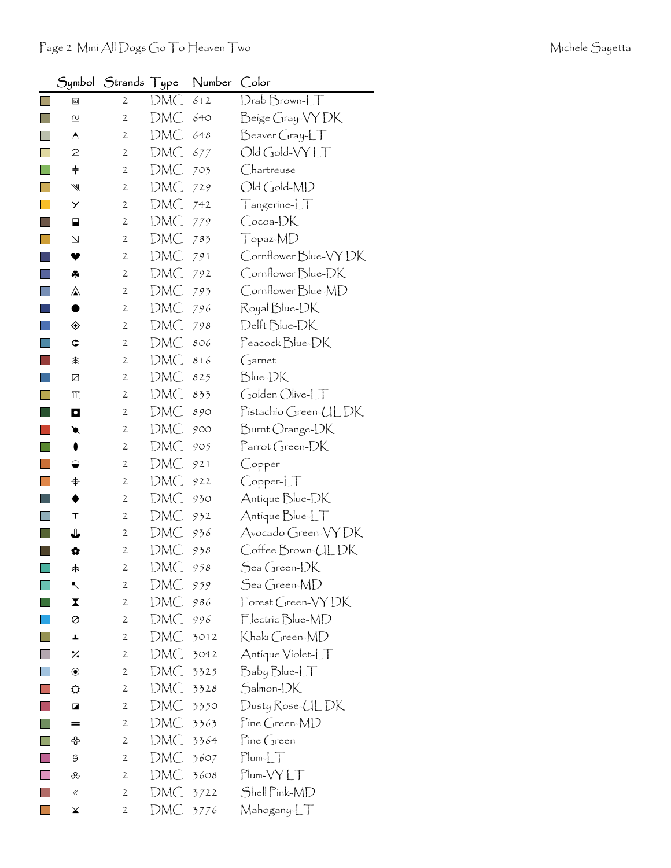|   |                             | Symbol Strands Type |            | Number | Color                              |
|---|-----------------------------|---------------------|------------|--------|------------------------------------|
|   | ▣                           | 2                   | DMC        | 612    | $D$ rab $B$ rown- $LT$             |
| H | $\overline{\mathsf{c}}$     | 2                   | DMC        | 640    | Beige Gray-VY DK                   |
|   | A                           | 2                   | DMC        | 648    | Beaver Gray-LT                     |
|   | 2                           | 2                   | DMC        | 677    | Old Gold-VYLT                      |
|   | $\ddagger$                  | $\mathbf{2}$        | DMC        | 703    | Chartreuse                         |
|   | ₩                           | 2                   | DMC        | 729    | Old Gold-MD                        |
|   | У                           | 2                   | DMC        | 742    | Tangerine-LT                       |
|   | ₽                           | $\mathbf{2}$        | DMC        | 779    | Cocoa-DK                           |
|   | ↘                           | $\mathfrak{2}$      | DMC        | 783    | Topaz-MD                           |
|   | v                           | 2                   | DMC        | 791    | Cornflower Blue-VY DK              |
|   | ÷                           | 2                   | DMC        | 792    | Cornflower Blue-DK                 |
|   | ⚠                           | $\mathbf{2}$        | DMC        | 793    | Cornflower Blue-MD                 |
|   | $\bullet$                   | $\mathfrak{2}$      | DMC        | 796    | Royal Blue-DK                      |
|   | ◈                           | 2                   | DMC        | 798    | Delft Blue-DK                      |
|   | ¢                           | 2                   | DMC        | 806    | Peacock Blue-DK                    |
|   | 余                           | $\mathbf{2}$        | DMC        | 816    | $G$ arnet                          |
|   | Z                           | $\mathbf{2}$        | DMC        | 825    | Blue-DK                            |
|   | Ⅲ                           | 2                   | DMC        | 833    | Golden Olive-LT                    |
|   | O                           | $\mathbf{2}$        | DMC        | 890    | Pistachio Green-ULDK               |
|   | €                           | 2                   | DMC        | 900    | Burnt Orange-DK                    |
|   | 0                           | 2                   | DMC        | 905    | $\Gamma$ arrot Green-D $\mathsf K$ |
|   | ◒                           | 2                   | DMC        | 921    | Copper                             |
|   | $\color{red} \blacklozenge$ | $\mathbf{2}$        | DMC        | 922    | $C$ opper- $LT$                    |
|   |                             | $\mathbf{2}$        | DMC        | 930    | Antique Blue-DK                    |
| L | т                           | 2                   | DMC        | 932    | Antique Blue-LT                    |
|   | ⇓                           | 2                   | DMC        | 936    | Avocado Green-VYDK                 |
|   | Q                           | $\mathfrak{2}$      | DMC        | 938    | Coffee Brown-ULDK                  |
|   | ↟                           | 2                   | <b>DMC</b> | 958    | Sea Green-DK                       |
|   | ↖                           | $\mathbf{2}$        | DMC        | 959    | Sea Green-MD                       |
|   | X                           | 2                   | DMC        | 986    | Forest Green-VYDK                  |
|   | 0                           | $\mathbf{2}$        | DMC        | 996    | Electric Blue-MD                   |
|   | ┻                           | $\mathbf{2}$        | DMC        | 3012   | Khakí Green-MD                     |
|   | ٪                           | 2                   | DMC        | 3042   | Antique Violet-LT                  |
|   | $\odot$                     | $\mathbf{2}$        | DMC        | 3325   | Baby Blue-LT                       |
|   | ⇔                           | 2                   | DMC        | 3328   | Salmon-DK                          |
|   | Z                           | 2                   | DMC        | 3350   | Dusty Rose-UL DK                   |
|   | =                           | $\mathbf{2}$        | DMC        | 3363   | Pine Green-MD                      |
|   | ♧                           | $\mathbf{2}$        | DMC        | 3364   | Pine Green                         |
|   | 9                           | 2                   | DMC        | 3607   | $Plum-LT$                          |
|   | ൿ                           | $\mathbf{2}$        | DMC        | 3608   | Plum-VYLT                          |
|   | «                           | 2                   | DMC        | 3722   | Shell Pink-MD                      |
|   | ¥                           | 2                   | DMC        | 3776   | Mahogany-LT                        |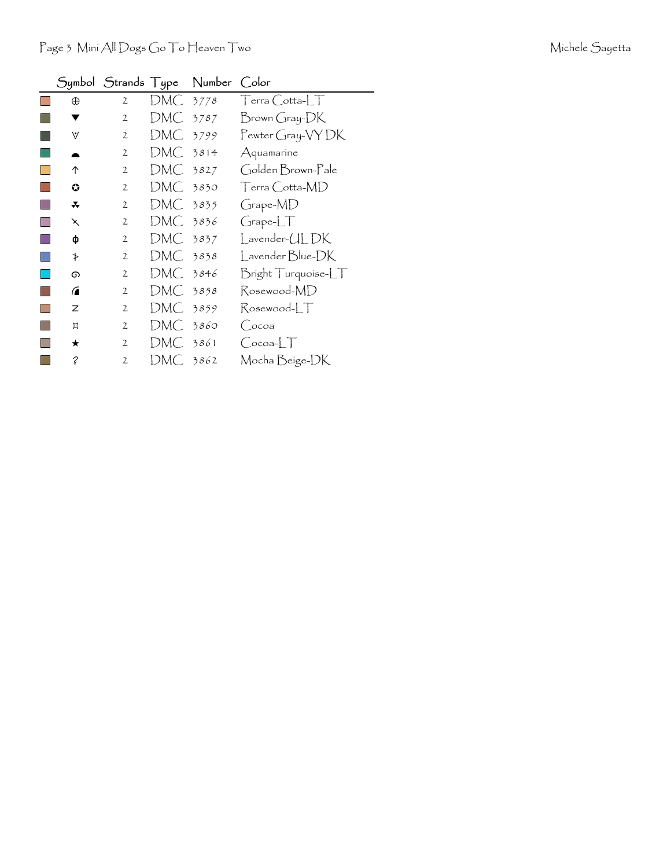|          | Symbol Strands Type |          | Number | Color                     |
|----------|---------------------|----------|--------|---------------------------|
| $\oplus$ | $\overline{2}$      | DMC 3778 |        | $T$ erra $\text{Cotta-L}$ |
|          | 2                   | DMC 3787 |        | Brown Gray-DK             |
| V        | 2                   | DMC 3799 |        | Pewter Gray-VY DK         |
|          | 2                   | DMC 3814 |        | Aquamarine                |
| 个        | $\mathbf{2}$        | DMC 3827 |        | Golden Brown-Pale         |
| ٥        | $\mathfrak{2}$      | DMC 3830 |        | Terra Cotta-MD            |
| *        | $\overline{2}$      | DMC 3835 |        | Grape-MD                  |
| ⋋        | 2                   | DMC 3836 |        | GrapherLT                 |
| ф        | $\mathbf{2}$        | DMC 3837 |        | Lavender-ULDK             |
| ≯        | $\mathbf{2}$        | DMC 3838 |        | Lavender Blue-DK          |
| ൭        | $\overline{2}$      | DMC 3846 |        | Bright Turquoise-LT       |
| ⋒        | $\overline{2}$      | DMC 3858 |        | Rosewood-MD               |
| Z        | 2                   | DMC .    | 3859   | Rosewood-LT               |
| Д        | $\mathbf{2}$        | DMC .    | 3860   | ( _осоа                   |
| ★        | $\mathfrak{2}$      | DMC 3861 |        | $Cocoa-LT$                |
| ?        | $\overline{2}$      | DMC 3862 |        | Mocha Beige-DK            |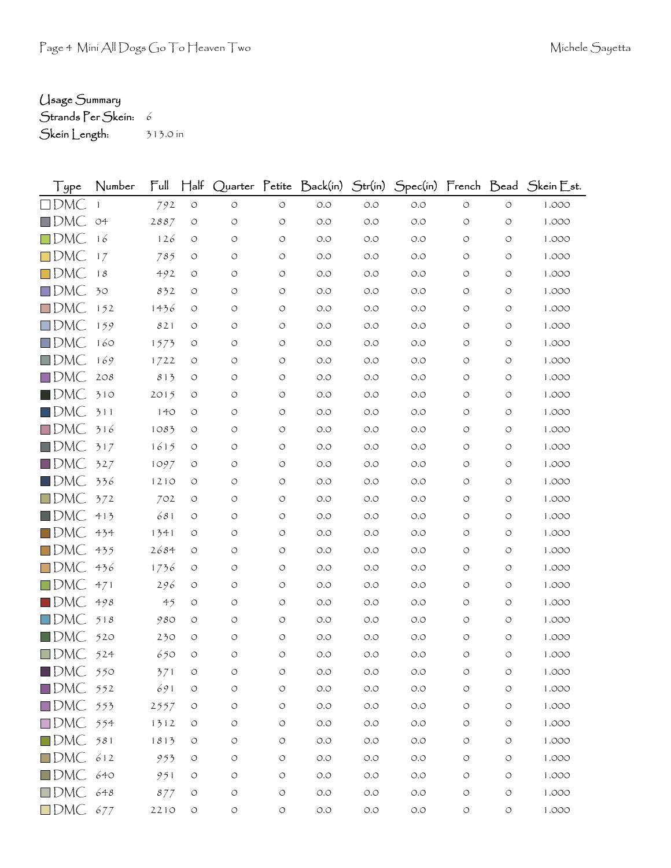## Usage Summary

Strands Per Skein: 6 Skein Length: 313.0 in

| Type                   | Number       | $\mathsf{Full}$ | $H$ alf            |                    |                    |       |       |       |                    |                    | Quarter Petite Back(in) Str(in) Spec(in) French Bead Skein Est. |
|------------------------|--------------|-----------------|--------------------|--------------------|--------------------|-------|-------|-------|--------------------|--------------------|-----------------------------------------------------------------|
| ∃DMC                   | $\mathbf{1}$ | 792             | $\circlearrowleft$ | $\circ$            | $\circ$            | $O.O$ | $O.O$ | O.O   | $\circlearrowleft$ | $\circlearrowleft$ | 1.000                                                           |
| $\Box$ DMC             | O4           | 2887            | $\circ$            | $\circ$            | $\circ$            | O.O   | O.O   | O.O   | O                  | O                  | 1.000                                                           |
| $\Box$ DMC             | 16           | 126             | O                  | O                  | O                  | O.O   | O.O   | O.O   | O                  | O                  | 1.000                                                           |
| $\Box$ DMC             | 17           | 785             | O                  | O                  | O                  | O.O   | O.O   | O.O   | O                  | O                  | 1.000                                                           |
| $\Box$ DMC             | 18           | 492             | $\circ$            | O                  | O                  | O.O   | O.O   | O.O   | O                  | O                  | 1.000                                                           |
| $\Box$ DMC             | 30           | 832             | O                  | O                  | O                  | O.O   | O.O   | O.O   | O                  | O                  | 1.000                                                           |
| $\Box$ DMC             | 152          | 1436            | O                  | O                  | O                  | O.O   | O.O   | O.O   | O                  | O                  | 1.000                                                           |
| $\square$ DMC          | 159          | 821             | O                  | O                  | $\circ$            | O.O   | O.O   | O.O   | O                  | O                  | 1.000                                                           |
| $\Box$ DMC             | 160          | 1573            | O                  | O                  | O                  | O.O   | O.O   | O.O   | O                  | O                  | 1.000                                                           |
| $\square$ DMC          | 169          | 1722            | O                  | O                  | O                  | O.O   | O.O   | O.O   | O                  | O                  | 1.000                                                           |
| $\Box$ DMC             | 208          | 813             | O                  | O                  | O                  | O.O   | O.O   | O.O   | O                  | O                  | 1.000                                                           |
| $\blacksquare$ DMC     | 310          | 2015            | O                  | O                  | O                  | O.O   | O.O   | O.O   | O                  | O                  | 1.000                                                           |
| $\square$ DMC          | 311          | 140             | $\circ$            | O                  | O                  | O.O   | O.O   | O.O   | O                  | O                  | 1.000                                                           |
| $\square$ DMC          | 316          | 1083            | O                  | O                  | O                  | O.O   | O.O   | O.O   | O                  | O                  | 1.000                                                           |
| $\Box$ DMC             | 317          | 1615            | O                  | O                  | O                  | O.O   | O.O   | O.O   | O                  | O                  | 1.000                                                           |
| $\square$ DMC          | 327          | 1097            | O                  | O                  | O                  | O.O   | O.O   | O.O   | O                  | O                  | 1.000                                                           |
| $\blacksquare$ DMC     | 336          | 1210            | O                  | O                  | O                  | O.O   | O.O   | O.O   | O                  | O                  | 1.000                                                           |
| $\square$ DMC          | 372          | 702             | O                  | O                  | O                  | O.O   | O.O   | O.O   | O                  | O                  | 1.000                                                           |
| $\square$ DMC          | 413          | 681             | $\circ$            | O                  | O                  | O.O   | O.O   | O.O   | O                  | O                  | 1.000                                                           |
| $\blacksquare$ DMC     | 434          | 1341            | O                  | O                  | O                  | O.O   | O.O   | O.O   | O                  | O                  | 1.000                                                           |
| $\Box$ DMC             | 435          | 2684            | O                  | O                  | O                  | O.O   | O.O   | O.O   | O                  | O                  | 1.000                                                           |
| $\blacksquare$ DMC     | 436          | 1736            | O                  | O                  | O                  | O.O   | O.O   | O.O   | O                  | O                  | 1.000                                                           |
| $\Box$ DMC             | 471          | 296             | $\circ$            | $\circ$            | $\circ$            | O.O   | O.O   | O.O   | O                  | O                  | 1.000                                                           |
| $\blacksquare$ DMC     | 498          | 4 <sub>5</sub>  | O                  | O                  | O                  | O.O   | O.O   | O.O   | O                  | O                  | 1.000                                                           |
| $\Box$ DMC             | 518          | 980             | $\circ$            | O                  | O                  | O.O   | O.O   | O.O   | O                  | O                  | 1.000                                                           |
| $\blacksquare$ dmC     | 520          | 230             | O                  | $\circ$            | $\circ$            | O.O   | O.O   | O.O   | O                  | O                  | 1.000                                                           |
| $\Box$ DMC             | 524          | 650             | $\circ$            | O                  | $\circ$            | O.O   | O.O   | O.O   | O                  | O                  | 1.000                                                           |
| $\blacksquare$ DMC 550 |              | 371             | O                  | O                  | O                  | O.O   | O.O   | O.O   | O                  | O                  | 1.000                                                           |
| $\blacksquare$ DMC 552 |              | 691             | $\circ$            | $\bigcirc$         | $\circ$            | $O.O$ | $O.O$ | $O.O$ | $\bigcirc$         | $\bigcirc$         | 1.000                                                           |
| $\square$ DMC          | 553          | 2557            | $\circ$            | O                  | $\circ$            | $O.O$ | $O.O$ | $O.O$ | $\bigcirc$         | $\bigcirc$         | 1.000                                                           |
| $\Box$ DMC 554         |              | 1312            | $\circ$            | $\bigcirc$         | O                  | $O.O$ | $O.O$ | $O.O$ | O                  | $\bigcirc$         | 1.000                                                           |
| $\square$ DMC          | 581          | 1813            | $\circ$            | O                  | $\circlearrowleft$ | $O.O$ | $O.O$ | $O.O$ | O                  | O                  | 1.000                                                           |
| $\square$ DMC          | 612          | 953             | $\circ$            | O                  | O                  | $O.O$ | $O.O$ | $O.O$ | O                  | O                  | 1.000                                                           |
| $\square$ DMC          | 640          | 951             | $\circ$            | $\bigcirc$         | $\bigcirc$         | $O.O$ | O.O   | $O.O$ | O                  | $\bigcirc$         | 1.000                                                           |
| $\Box$ DMC 648         |              | 877             | $\circ$            | $\bigcirc$         | $\bigcirc$         | $O.O$ | $O.O$ | $O.O$ | $\bigcirc$         | $\bigcirc$         | 1.000                                                           |
| $\square$ DMC          | 677          | 2210            | $\circ$            | $\circlearrowleft$ | $\bigcirc$         | $O.O$ | $O.O$ | $O.O$ | O                  | $\bigcirc$         | 1.000                                                           |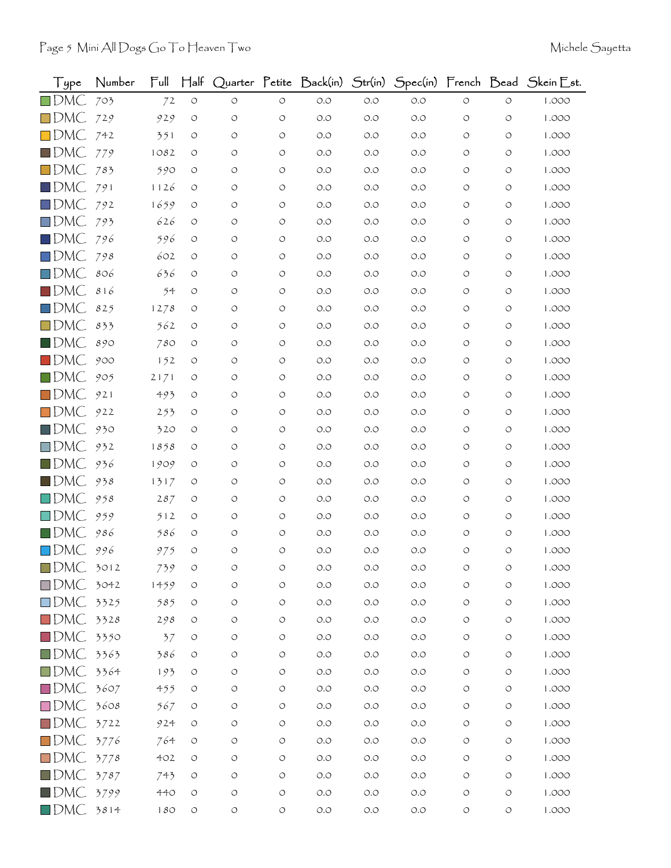| Type               | Number | $\mathsf{Full}$ | $H$ alf    |            |                    | Quarter Petite Back(in) Str(in) |       |       |                    |                    | Spec(in) French Bead Skein Est. |
|--------------------|--------|-----------------|------------|------------|--------------------|---------------------------------|-------|-------|--------------------|--------------------|---------------------------------|
| $\square$ DMC      | 703    | 72              | $\bigcirc$ | $\circ$    | $\circlearrowleft$ | $O.O$                           | O.O   | O.O   | $\circ$            | $\circ$            | 1.000                           |
| $\Box$ DMC         | 729    | 929             | O          | O          | $\circ$            | O.O                             | O.O   | O.O   | O                  | $\circ$            | 1.000                           |
| $\square$ DMC      | 742    | 351             | O          | O          | O                  | O.O                             | O.O   | O.O   | O                  | $\circ$            | 1.000                           |
| $\blacksquare$ DMC | 779    | 1082            | O          | O          | O                  | O.O                             | O.O   | O.O   | O                  | $\circ$            | 1.000                           |
| $\blacksquare$ DMC | 783    | 590             | O          | O          | O                  | O.O                             | O.O   | O.O   | O                  | O                  | 1.000                           |
| $\square$ DMC      | 791    | 1126            | O          | O          | O                  | O.O                             | O.O   | O.O   | O                  | O                  | 1.000                           |
| $\Box$ DMC         | 792    | 1659            | O          | O          | O                  | O.O                             | O.O   | O.O   | O                  | O                  | 1.000                           |
| $\square$ DMC      | 793    | 626             | O          | O          | O                  | O.O                             | O.O   | O.O   | O                  | O                  | 1.000                           |
| $\blacksquare$ DMC | 796    | 596             | O          | O          | O                  | O.O                             | O.O   | O.O   | O                  | $\circ$            | 1.000                           |
| $\Box$ DMC         | 798    | 602             | O          | O          | O                  | O.O                             | O.O   | O.O   | O                  | $\circ$            | 1.000                           |
| $\Box$ DMC         | 806    | 636             | O          | O          | O                  | O.O                             | O.O   | O.O   | O                  | O                  | 1.000                           |
| $\square$ DMC      | 816    | 54              | O          | O          | O                  | O.O                             | O.O   | O.O   | O                  | $\circ$            | 1.000                           |
| $\Box$ DMC         | 825    | 1278            | O          | O          | O                  | O.O                             | O.O   | O.O   | O                  | $\circ$            | 1.000                           |
| $\Box$ DMC         | 833    | 562             | O          | O          | O                  | O.O                             | O.O   | O.O   | O                  | O                  | 1.000                           |
| $\blacksquare$ DMC | 890    | 780             | O          | O          | O                  | O.O                             | O.O   | O.O   | O                  | $\circ$            | 1.000                           |
| $\blacksquare$ DMC | 900    | 152             | O          | O          | O                  | O.O                             | O.O   | 0.0   | O                  | $\circ$            | 1.000                           |
| $\blacksquare$ DMC | 905    | 2171            | O          | O          | $\circ$            | O.O                             | O.O   | O.O   | O                  | O                  | 1.000                           |
| $\square$ DMC      | 921    | 493             | O          | O          | O                  | O.O                             | O.O   | O.O   | O                  | O                  | 1.000                           |
| $\Box$ DMC         | 922    | 253             | O          | O          | O                  | O.O                             | O.O   | O.O   | O                  | $\circ$            | 1.000                           |
| $\blacksquare$ DMC | 930    | 320             | O          | O          | O                  | O.O                             | O.O   | O.O   | O                  | O                  | 1.000                           |
| $\square$ DMC      | 932    | 1858            | O          | O          | O                  | O.O                             | O.O   | O.O   | O                  | $\circ$            | 1.000                           |
| $\blacksquare$ dmC | 936    | 1909            | O          | O          | O                  | O.O                             | O.O   | O.O   | O                  | O                  | 1.000                           |
| $\blacksquare$ DMC | 938    | 1317            | O          | O          | O                  | O.O                             | O.O   | O.O   | O                  | O                  | 1.000                           |
| $\square$ DMC      | 958    | 287             | O          | Ο          | O                  | O.O                             | O.O   | O.O   | O                  | O                  | 1.000                           |
| $\Box$ DMC         | 959    | 512             | O          | O          | O                  | O.O                             | O.O   | O.O   | O                  | O                  | 1.000                           |
| $\blacksquare$ DMC | 986    | 586             | O          | O          | O                  | O.O                             | O.O   | O.O   | O                  | O                  | 1.000                           |
| $\square$ DMC      | 996    | 975             | O          | O          | O                  | O.O                             | 0.0   | O.O   | O                  | $\circ$            | 1.000                           |
| $\square$ DMC      | 3012   | 739             |            |            | O                  | O.O                             | O.O   | O.O   |                    |                    | 1.000                           |
| $\square$ DMC      | 3042   | 1459            | O          | O          | O                  | O.O                             | O.O   | O.O   | O                  | $\circ$            | 1.000                           |
| $\square$ DMC      | 3325   | 585             | O          | O          | $\bigcirc$         | $O.O$                           | $O.O$ | $O.O$ | $\circ$            | O                  | 1.000                           |
| $\square$ DMC      | 3328   | 298             | O          | O          | O                  | $O.O$                           | O.O   | O.O   | O                  | O                  | 1.000                           |
| $\square$ DMC      | 3350   | 37              | O          | O          | O                  | O.O                             | O.O   | $O.O$ | O                  | $\circ$            | 1.000                           |
| $\square$ DMC      | 3363   | 386             | O          | O          | O                  | O.O                             | $O.O$ | $O.O$ | $\circ$            | $\circ$            | 1.000                           |
| $\square$ DMC      | 3364   | 193             | O          | O          | O                  | O.O                             | O.O   | O.O   | O                  | O                  | 1.000                           |
| $\square$ DMC      | 3607   | 455             | O          | O          | $\circ$            | $O.O$                           | O.O   | $O.O$ | $\circ$            | $\circ$            | 1.000                           |
| $\Box$ DMC         | 3608   | 567             | $\circ$    | O          | O                  | O.O                             | O.O   | O.O   | $\circ$            | $\circ$            | 1.000                           |
| $\square$ DMC      | 3722   | 924             | O          | O          | O                  | O.O                             | O.O   | $O.O$ | O                  | O                  | 1.000                           |
| $\square$ DMC      | 3776   | 764             | O          | O          | $\circ$            | O.O                             | O.O   | O.O   | O                  | O                  | 1.000                           |
| $\square$ DMC      | 3778   | 402             | O          | O          | O                  | O.O                             | O.O   | O.O   | O                  | $\circ$            | 1.000                           |
| $\blacksquare$ DMC | 3787   | 743             | O          | O          | O                  | O.O                             | O.O   | O.O   | O                  | $\circ$            | 1.000                           |
| $\blacksquare$ DMC | 3799   | 440             | O          | O          | $\bigcirc$         | $O.O$                           | $O.O$ | $O.O$ | $\circ$            | $\circ$            | 1.000                           |
| $\square$ DMC      | 3814   | 180             | $\bigcirc$ | $\bigcirc$ | $\circ$            | O.O                             | O.O   | $O.O$ | $\circlearrowleft$ | $\circlearrowleft$ | 1.000                           |